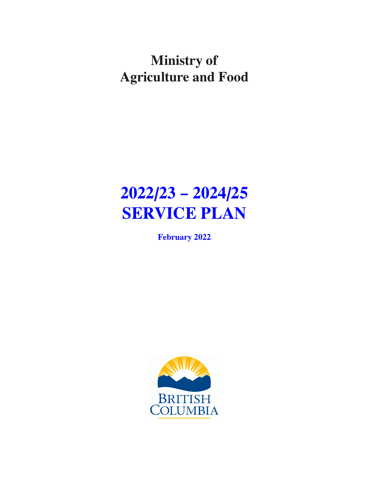# **Ministry of Agriculture and Food**

# **2022/23 – 2024/25 SERVICE PLAN**

**February 2022**

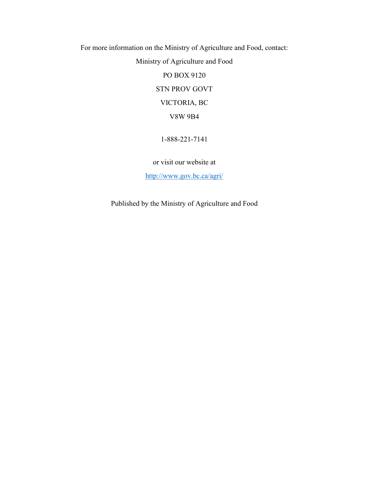For more information on the Ministry of Agriculture and Food, contact: Ministry of Agriculture and Food PO BOX 9120 STN PROV GOVT VICTORIA, BC

V8W 9B4

1-888-221-7141

or visit our website at

<http://www.gov.bc.ca/agri/>

Published by the Ministry of Agriculture and Food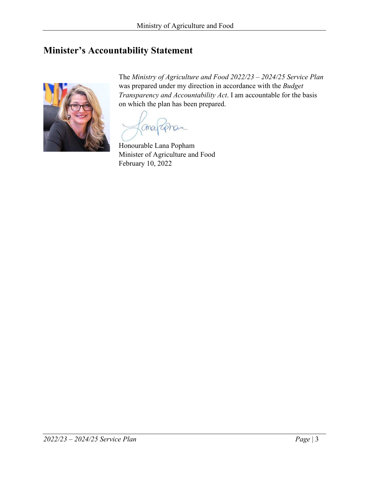# <span id="page-2-0"></span>**Minister's Accountability Statement**



The *Ministry of Agriculture and Food 2022/23 – 2024/25 Service Plan* was prepared under my direction in accordance with the *Budget Transparency and Accountability Act*. I am accountable for the basis on which the plan has been prepared.

Shan Chray

Honourable Lana Popham Minister of Agriculture and Food February 10, 2022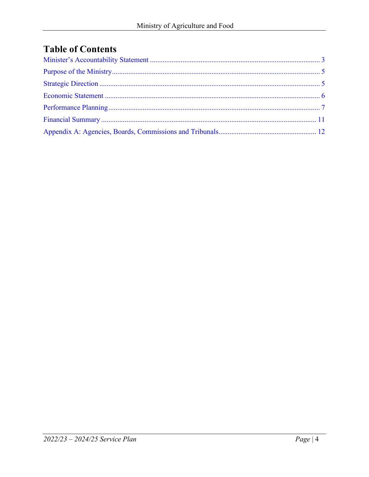# **Table of Contents**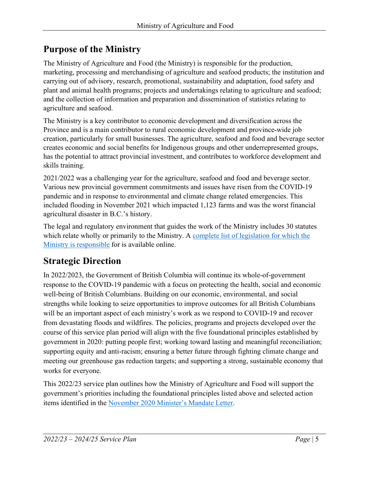# <span id="page-4-0"></span>**Purpose of the Ministry**

The Ministry of Agriculture and Food (the Ministry) is responsible for the production, marketing, processing and merchandising of agriculture and seafood products; the institution and carrying out of advisory, research, promotional, sustainability and adaptation, food safety and plant and animal health programs; projects and undertakings relating to agriculture and seafood; and the collection of information and preparation and dissemination of statistics relating to agriculture and seafood.

The Ministry is a key contributor to economic development and diversification across the Province and is a main contributor to rural economic development and province-wide job creation, particularly for small businesses. The agriculture, seafood and food and beverage sector creates economic and social benefits for Indigenous groups and other underrepresented groups, has the potential to attract provincial investment, and contributes to workforce development and skills training.

2021/2022 was a challenging year for the agriculture, seafood and food and beverage sector. Various new provincial government commitments and issues have risen from the COVID-19 pandemic and in response to environmental and climate change related emergencies. This included flooding in November 2021 which impacted 1,123 farms and was the worst financial agricultural disaster in B.C.'s history.

The legal and regulatory environment that guides the work of the Ministry includes 30 statutes which relate wholly or primarily to the Ministry. A [complete list of legislation for which the](https://www.bclaws.ca/civix/document/id/amr/amr/1135179498) [Ministry is responsible](https://www.bclaws.ca/civix/document/id/amr/amr/1135179498) for is available online.

# <span id="page-4-1"></span>**Strategic Direction**

In 2022/2023, the Government of British Columbia will continue its whole-of-government response to the COVID-19 pandemic with a focus on protecting the health, social and economic well-being of British Columbians. Building on our economic, environmental, and social strengths while looking to seize opportunities to improve outcomes for all British Columbians will be an important aspect of each ministry's work as we respond to COVID-19 and recover from devastating floods and wildfires. The policies, programs and projects developed over the course of this service plan period will align with the five foundational principles established by government in 2020: putting people first; working toward lasting and meaningful reconciliation; supporting equity and anti-racism; ensuring a better future through fighting climate change and meeting our greenhouse gas reduction targets; and supporting a strong, sustainable economy that works for everyone.

This 2022/23 service plan outlines how the Ministry of Agriculture and Food will support the government's priorities including the foundational principles listed above and selected action items identified in the [November 2020 Minister's Mandate Letter.](https://news.gov.bc.ca/files/AFF-Popham-mandate.pdf)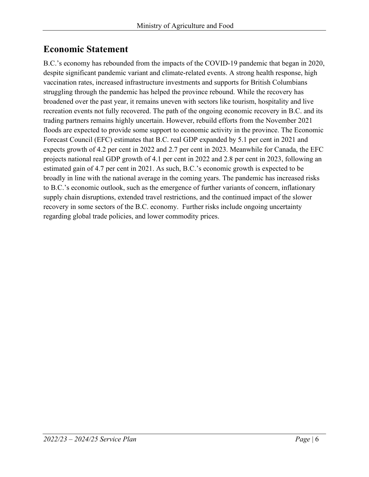# <span id="page-5-0"></span>**Economic Statement**

B.C.'s economy has rebounded from the impacts of the COVID-19 pandemic that began in 2020, despite significant pandemic variant and climate-related events. A strong health response, high vaccination rates, increased infrastructure investments and supports for British Columbians struggling through the pandemic has helped the province rebound. While the recovery has broadened over the past year, it remains uneven with sectors like tourism, hospitality and live recreation events not fully recovered. The path of the ongoing economic recovery in B.C. and its trading partners remains highly uncertain. However, rebuild efforts from the November 2021 floods are expected to provide some support to economic activity in the province. The Economic Forecast Council (EFC) estimates that B.C. real GDP expanded by 5.1 per cent in 2021 and expects growth of 4.2 per cent in 2022 and 2.7 per cent in 2023. Meanwhile for Canada, the EFC projects national real GDP growth of 4.1 per cent in 2022 and 2.8 per cent in 2023, following an estimated gain of 4.7 per cent in 2021. As such, B.C.'s economic growth is expected to be broadly in line with the national average in the coming years. The pandemic has increased risks to B.C.'s economic outlook, such as the emergence of further variants of concern, inflationary supply chain disruptions, extended travel restrictions, and the continued impact of the slower recovery in some sectors of the B.C. economy. Further risks include ongoing uncertainty regarding global trade policies, and lower commodity prices.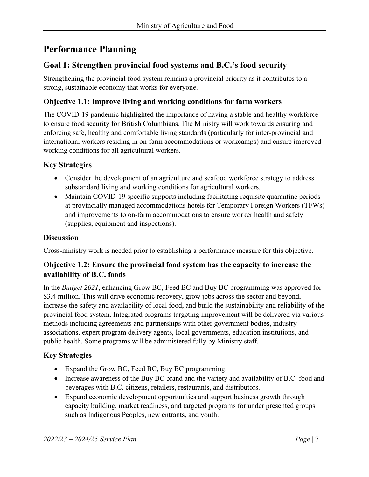# <span id="page-6-0"></span>**Performance Planning**

## **Goal 1: Strengthen provincial food systems and B.C.'s food security**

Strengthening the provincial food system remains a provincial priority as it contributes to a strong, sustainable economy that works for everyone.

## **Objective 1.1: Improve living and working conditions for farm workers**

The COVID-19 pandemic highlighted the importance of having a stable and healthy workforce to ensure food security for British Columbians. The Ministry will work towards ensuring and enforcing safe, healthy and comfortable living standards (particularly for inter-provincial and international workers residing in on-farm accommodations or workcamps) and ensure improved working conditions for all agricultural workers.

### **Key Strategies**

- Consider the development of an agriculture and seafood workforce strategy to address substandard living and working conditions for agricultural workers.
- Maintain COVID-19 specific supports including facilitating requisite quarantine periods at provincially managed accommodations hotels for Temporary Foreign Workers (TFWs) and improvements to on-farm accommodations to ensure worker health and safety (supplies, equipment and inspections).

#### **Discussion**

Cross-ministry work is needed prior to establishing a performance measure for this objective.

### **Objective 1.2: Ensure the provincial food system has the capacity to increase the availability of B.C. foods**

In the *Budget 2021*, enhancing Grow BC, Feed BC and Buy BC programming was approved for \$3.4 million. This will drive economic recovery, grow jobs across the sector and beyond, increase the safety and availability of local food, and build the sustainability and reliability of the provincial food system. Integrated programs targeting improvement will be delivered via various methods including agreements and partnerships with other government bodies, industry associations, expert program delivery agents, local governments, education institutions, and public health. Some programs will be administered fully by Ministry staff.

## **Key Strategies**

- Expand the Grow BC, Feed BC, Buy BC programming.
- Increase awareness of the Buy BC brand and the variety and availability of B.C. food and beverages with B.C. citizens, retailers, restaurants, and distributors.
- Expand economic development opportunities and support business growth through capacity building, market readiness, and targeted programs for under presented groups such as Indigenous Peoples, new entrants, and youth.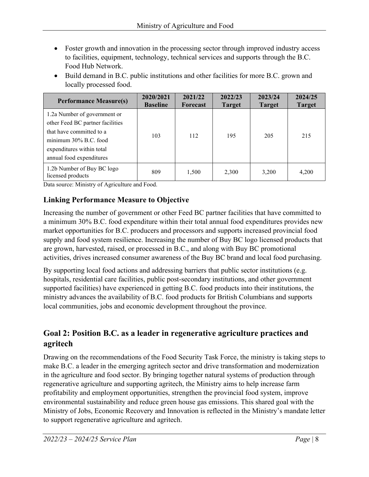- Foster growth and innovation in the processing sector through improved industry access to facilities, equipment, technology, technical services and supports through the B.C. Food Hub Network.
- Build demand in B.C. public institutions and other facilities for more B.C. grown and locally processed food.

| <b>Performance Measure(s)</b>                                                                                                                                                  | 2020/2021<br><b>Baseline</b> | 2021/22<br><b>Forecast</b> | 2022/23<br><b>Target</b> | 2023/24<br><b>Target</b> | 2024/25<br><b>Target</b> |
|--------------------------------------------------------------------------------------------------------------------------------------------------------------------------------|------------------------------|----------------------------|--------------------------|--------------------------|--------------------------|
| 1.2a Number of government or<br>other Feed BC partner facilities<br>that have committed to a<br>minimum 30% B.C. food<br>expenditures within total<br>annual food expenditures | 103                          | 112                        | 195                      | 205                      | 215                      |
| 1.2b Number of Buy BC logo<br>licensed products                                                                                                                                | 809                          | 1,500                      | 2,300                    | 3,200                    | 4,200                    |

Data source: Ministry of Agriculture and Food.

## **Linking Performance Measure to Objective**

Increasing the number of government or other Feed BC partner facilities that have committed to a minimum 30% B.C. food expenditure within their total annual food expenditures provides new market opportunities for B.C. producers and processors and supports increased provincial food supply and food system resilience. Increasing the number of Buy BC logo licensed products that are grown, harvested, raised, or processed in B.C., and along with Buy BC promotional activities, drives increased consumer awareness of the Buy BC brand and local food purchasing.

By supporting local food actions and addressing barriers that public sector institutions (e.g. hospitals, residential care facilities, public post-secondary institutions, and other government supported facilities) have experienced in getting B.C. food products into their institutions, the ministry advances the availability of B.C. food products for British Columbians and supports local communities, jobs and economic development throughout the province.

# **Goal 2: Position B.C. as a leader in regenerative agriculture practices and agritech**

Drawing on the recommendations of the Food Security Task Force, the ministry is taking steps to make B.C. a leader in the emerging agritech sector and drive transformation and modernization in the agriculture and food sector. By bringing together natural systems of production through regenerative agriculture and supporting agritech, the Ministry aims to help increase farm profitability and employment opportunities, strengthen the provincial food system, improve environmental sustainability and reduce green house gas emissions. This shared goal with the Ministry of Jobs, Economic Recovery and Innovation is reflected in the Ministry's mandate letter to support regenerative agriculture and agritech.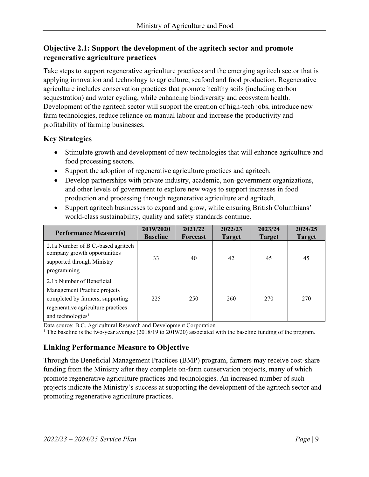## **Objective 2.1: Support the development of the agritech sector and promote regenerative agriculture practices**

Take steps to support regenerative agriculture practices and the emerging agritech sector that is applying innovation and technology to agriculture, seafood and food production. Regenerative agriculture includes conservation practices that promote healthy soils (including carbon sequestration) and water cycling, while enhancing biodiversity and ecosystem health. Development of the agritech sector will support the creation of high-tech jobs, introduce new farm technologies, reduce reliance on manual labour and increase the productivity and profitability of farming businesses.

## **Key Strategies**

- Stimulate growth and development of new technologies that will enhance agriculture and food processing sectors.
- Support the adoption of regenerative agriculture practices and agritech.
- Develop partnerships with private industry, academic, non-government organizations, and other levels of government to explore new ways to support increases in food production and processing through regenerative agriculture and agritech.
- Support agritech businesses to expand and grow, while ensuring British Columbians' world-class sustainability, quality and safety standards continue.

| <b>Performance Measure(s)</b>                                                                                                                                        | 2019/2020<br><b>Baseline</b> | 2021/22<br>Forecast | 2022/23<br><b>Target</b> | 2023/24<br><b>Target</b> | 2024/25<br><b>Target</b> |
|----------------------------------------------------------------------------------------------------------------------------------------------------------------------|------------------------------|---------------------|--------------------------|--------------------------|--------------------------|
| 2.1a Number of B.C.-based agritech<br>company growth opportunities<br>supported through Ministry<br>programming                                                      | 33                           | 40                  | 42                       | 45                       | 45                       |
| 2.1b Number of Beneficial<br>Management Practice projects<br>completed by farmers, supporting<br>regenerative agriculture practices<br>and technologies <sup>1</sup> | 225                          | 250                 | 260                      | 270                      | 270                      |

Data source: B.C. Agricultural Research and Development Corporation

<sup>1</sup> The baseline is the two-year average (2018/19 to 2019/20) associated with the baseline funding of the program.

# **Linking Performance Measure to Objective**

Through the Beneficial Management Practices (BMP) program, farmers may receive cost-share funding from the Ministry after they complete on-farm conservation projects, many of which promote regenerative agriculture practices and technologies. An increased number of such projects indicate the Ministry's success at supporting the development of the agritech sector and promoting regenerative agriculture practices.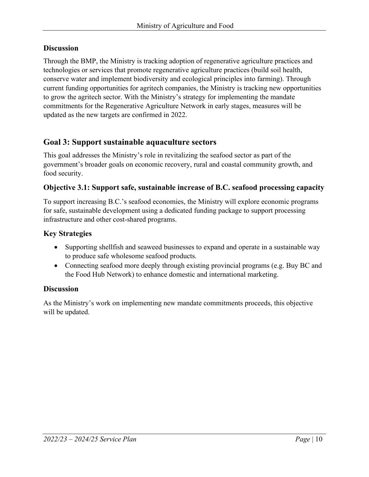#### **Discussion**

Through the BMP, the Ministry is tracking adoption of regenerative agriculture practices and technologies or services that promote regenerative agriculture practices (build soil health, conserve water and implement biodiversity and ecological principles into farming). Through current funding opportunities for agritech companies, the Ministry is tracking new opportunities to grow the agritech sector. With the Ministry's strategy for implementing the mandate commitments for the Regenerative Agriculture Network in early stages, measures will be updated as the new targets are confirmed in 2022.

## **Goal 3: Support sustainable aquaculture sectors**

This goal addresses the Ministry's role in revitalizing the seafood sector as part of the government's broader goals on economic recovery, rural and coastal community growth, and food security.

#### **Objective 3.1: Support safe, sustainable increase of B.C. seafood processing capacity**

To support increasing B.C.'s seafood economies, the Ministry will explore economic programs for safe, sustainable development using a dedicated funding package to support processing infrastructure and other cost-shared programs.

### **Key Strategies**

- Supporting shell fish and seaweed businesses to expand and operate in a sustainable way to produce safe wholesome seafood products.
- Connecting seafood more deeply through existing provincial programs (e.g. Buy BC and the Food Hub Network) to enhance domestic and international marketing.

#### **Discussion**

As the Ministry's work on implementing new mandate commitments proceeds, this objective will be updated.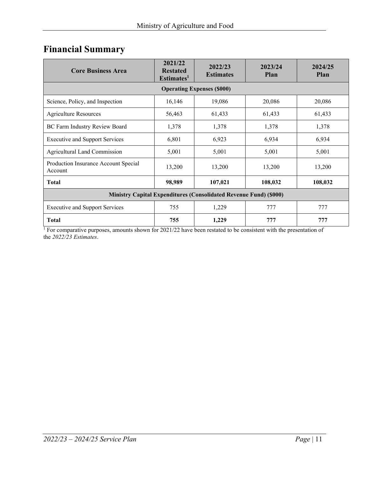# <span id="page-10-0"></span>**Financial Summary**

| <b>Core Business Area</b>                                                | 2021/22<br><b>Restated</b><br>Estimates <sup>1</sup> | 2022/23<br><b>Estimates</b> | 2023/24<br>Plan | 2024/25<br><b>Plan</b> |  |  |  |  |
|--------------------------------------------------------------------------|------------------------------------------------------|-----------------------------|-----------------|------------------------|--|--|--|--|
| <b>Operating Expenses (\$000)</b>                                        |                                                      |                             |                 |                        |  |  |  |  |
| Science, Policy, and Inspection                                          | 16,146                                               | 19,086                      | 20,086          | 20,086                 |  |  |  |  |
| <b>Agriculture Resources</b>                                             | 56,463                                               | 61,433                      | 61,433          | 61,433                 |  |  |  |  |
| BC Farm Industry Review Board                                            | 1,378                                                | 1,378                       | 1,378           | 1,378                  |  |  |  |  |
| <b>Executive and Support Services</b>                                    | 6,801                                                | 6,923                       | 6,934           | 6,934                  |  |  |  |  |
| <b>Agricultural Land Commission</b>                                      | 5,001                                                | 5,001                       | 5,001           | 5,001                  |  |  |  |  |
| Production Insurance Account Special<br>Account                          | 13,200                                               | 13,200                      | 13,200          | 13,200                 |  |  |  |  |
| <b>Total</b>                                                             | 98,989                                               | 107,021                     | 108,032         | 108,032                |  |  |  |  |
| <b>Ministry Capital Expenditures (Consolidated Revenue Fund) (\$000)</b> |                                                      |                             |                 |                        |  |  |  |  |
| <b>Executive and Support Services</b>                                    | 755                                                  | 1,229                       | 777             | 777                    |  |  |  |  |
| <b>Total</b>                                                             | 755                                                  | 1,229                       | 777             | 777                    |  |  |  |  |

<sup>1</sup> For comparative purposes, amounts shown for 2021/22 have been restated to be consistent with the presentation of the *2022/23 Estimates*.